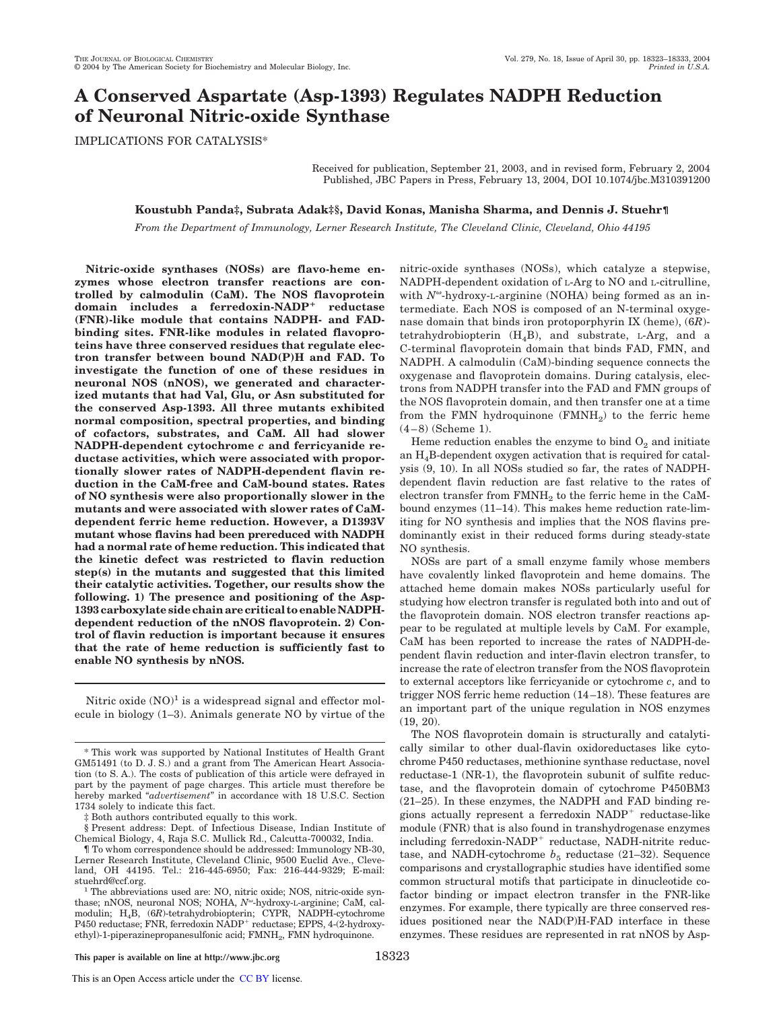# **A Conserved Aspartate (Asp-1393) Regulates NADPH Reduction of Neuronal Nitric-oxide Synthase**

IMPLICATIONS FOR CATALYSIS\*

Received for publication, September 21, 2003, and in revised form, February 2, 2004 Published, JBC Papers in Press, February 13, 2004, DOI 10.1074/jbc.M310391200

## **Koustubh Panda‡, Subrata Adak‡§, David Konas, Manisha Sharma, and Dennis J. Stuehr¶**

*From the Department of Immunology, Lerner Research Institute, The Cleveland Clinic, Cleveland, Ohio 44195*

**Nitric-oxide synthases (NOSs) are flavo-heme enzymes whose electron transfer reactions are controlled by calmodulin (CaM). The NOS flavoprotein domain includes a ferredoxin-NADP reductase (FNR)-like module that contains NADPH- and FADbinding sites. FNR-like modules in related flavoproteins have three conserved residues that regulate electron transfer between bound NAD(P)H and FAD. To investigate the function of one of these residues in neuronal NOS (nNOS), we generated and characterized mutants that had Val, Glu, or Asn substituted for the conserved Asp-1393. All three mutants exhibited normal composition, spectral properties, and binding of cofactors, substrates, and CaM. All had slower NADPH-dependent cytochrome** *c* **and ferricyanide reductase activities, which were associated with proportionally slower rates of NADPH-dependent flavin reduction in the CaM-free and CaM-bound states. Rates of NO synthesis were also proportionally slower in the mutants and were associated with slower rates of CaMdependent ferric heme reduction. However, a D1393V mutant whose flavins had been prereduced with NADPH had a normal rate of heme reduction. This indicated that the kinetic defect was restricted to flavin reduction step(s) in the mutants and suggested that this limited their catalytic activities. Together, our results show the following. 1) The presence and positioning of the Asp-1393 carboxylate side chain are critical to enable NADPHdependent reduction of the nNOS flavoprotein. 2) Control of flavin reduction is important because it ensures that the rate of heme reduction is sufficiently fast to enable NO synthesis by nNOS.**

Nitric oxide  $(NO)^1$  is a widespread signal and effector molecule in biology (1–3). Animals generate NO by virtue of the

‡ Both authors contributed equally to this work.

§ Present address: Dept. of Infectious Disease, Indian Institute of Chemical Biology, 4, Raja S.C. Mullick Rd., Calcutta-700032, India.

nitric-oxide synthases (NOSs), which catalyze a stepwise, NADPH-dependent oxidation of L-Arg to NO and L-citrulline, with  $N^{\omega}$ -hydroxy-L-arginine (NOHA) being formed as an intermediate. Each NOS is composed of an N-terminal oxygenase domain that binds iron protoporphyrin IX (heme), (6*R*) tetrahydrobiopterin  $(H_4B)$ , and substrate, L-Arg, and a C-terminal flavoprotein domain that binds FAD, FMN, and NADPH. A calmodulin (CaM)-binding sequence connects the oxygenase and flavoprotein domains. During catalysis, electrons from NADPH transfer into the FAD and FMN groups of the NOS flavoprotein domain, and then transfer one at a time from the FMN hydroquinone  $\rm(FMMH_2)$  to the ferric heme (4–8) (Scheme 1).

Heme reduction enables the enzyme to bind  $O_2$  and initiate an  $H_4B$ -dependent oxygen activation that is required for catalysis (9, 10). In all NOSs studied so far, the rates of NADPHdependent flavin reduction are fast relative to the rates of electron transfer from  $\text{FMNH}_2$  to the ferric heme in the CaMbound enzymes (11–14). This makes heme reduction rate-limiting for NO synthesis and implies that the NOS flavins predominantly exist in their reduced forms during steady-state NO synthesis.

NOSs are part of a small enzyme family whose members have covalently linked flavoprotein and heme domains. The attached heme domain makes NOSs particularly useful for studying how electron transfer is regulated both into and out of the flavoprotein domain. NOS electron transfer reactions appear to be regulated at multiple levels by CaM. For example, CaM has been reported to increase the rates of NADPH-dependent flavin reduction and inter-flavin electron transfer, to increase the rate of electron transfer from the NOS flavoprotein to external acceptors like ferricyanide or cytochrome *c*, and to trigger NOS ferric heme reduction (14–18). These features are an important part of the unique regulation in NOS enzymes (19, 20).

The NOS flavoprotein domain is structurally and catalytically similar to other dual-flavin oxidoreductases like cytochrome P450 reductases, methionine synthase reductase, novel reductase-1 (NR-1), the flavoprotein subunit of sulfite reductase, and the flavoprotein domain of cytochrome P450BM3 (21–25). In these enzymes, the NADPH and FAD binding regions actually represent a ferredoxin NADP<sup>+</sup> reductase-like module (FNR) that is also found in transhydrogenase enzymes including ferredoxin-NADP<sup>+</sup> reductase, NADH-nitrite reductase, and NADH-cytochrome  $b_5$  reductase (21–32). Sequence comparisons and crystallographic studies have identified some common structural motifs that participate in dinucleotide cofactor binding or impact electron transfer in the FNR-like enzymes. For example, there typically are three conserved residues positioned near the NAD(P)H-FAD interface in these enzymes. These residues are represented in rat nNOS by Asp-

<sup>\*</sup> This work was supported by National Institutes of Health Grant GM51491 (to D. J. S.) and a grant from The American Heart Association (to S. A.). The costs of publication of this article were defrayed in part by the payment of page charges. This article must therefore be hereby marked "*advertisement*" in accordance with 18 U.S.C. Section 1734 solely to indicate this fact.

<sup>¶</sup> To whom correspondence should be addressed: Immunology NB-30, Lerner Research Institute, Cleveland Clinic, 9500 Euclid Ave., Cleveland, OH 44195. Tel.: 216-445-6950; Fax: 216-444-9329; E-mail: stuehrd@ccf.org.

<sup>&</sup>lt;sup>1</sup> The abbreviations used are: NO, nitric oxide; NOS, nitric-oxide synthase; nNOS, neuronal NOS; NOHA, N<sup>o</sup>-hydroxy-L-arginine; CaM, calmodulin; H4B, (6*R*)-tetrahydrobiopterin; CYPR, NADPH-cytochrome P450 reductase; FNR, ferredoxin NADP reductase; EPPS, 4-(2-hydroxyethyl)-1-piperazinepropanesulfonic acid; FMNH<sub>2</sub>, FMN hydroquinone.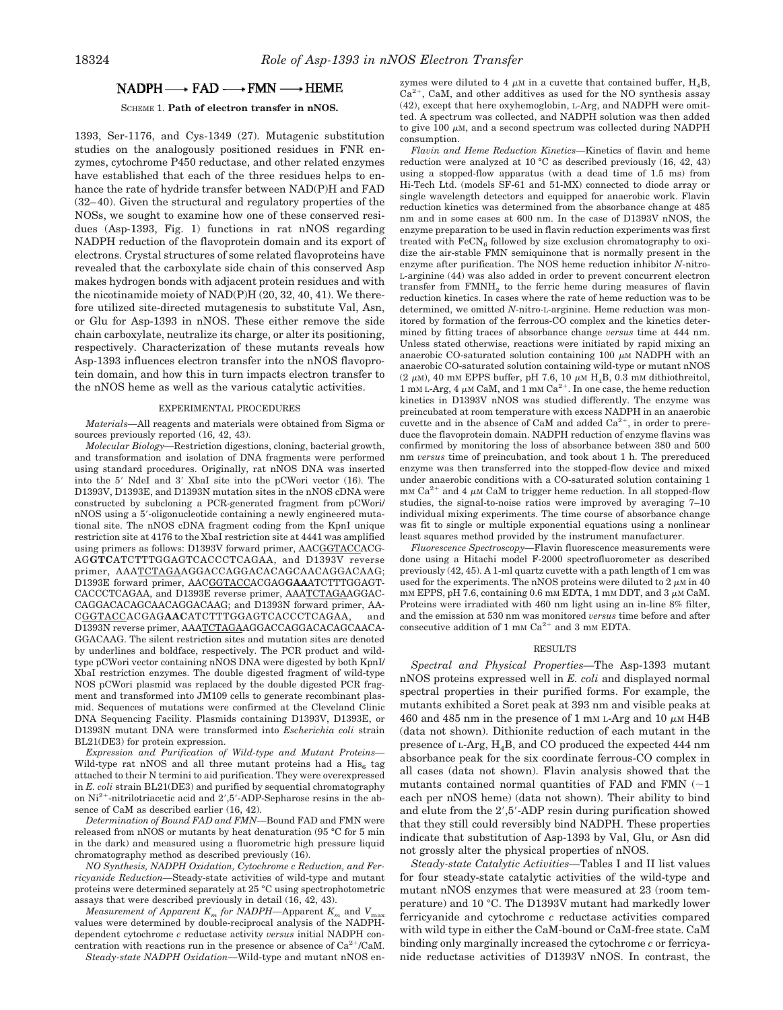# $NADPH \longrightarrow FAD \longrightarrow FMN \longrightarrow HEME$

### SCHEME 1. **Path of electron transfer in nNOS.**

1393, Ser-1176, and Cys-1349 (27). Mutagenic substitution studies on the analogously positioned residues in FNR enzymes, cytochrome P450 reductase, and other related enzymes have established that each of the three residues helps to enhance the rate of hydride transfer between NAD(P)H and FAD (32–40). Given the structural and regulatory properties of the NOSs, we sought to examine how one of these conserved residues (Asp-1393, Fig. 1) functions in rat nNOS regarding NADPH reduction of the flavoprotein domain and its export of electrons. Crystal structures of some related flavoproteins have revealed that the carboxylate side chain of this conserved Asp makes hydrogen bonds with adjacent protein residues and with the nicotinamide moiety of NAD(P)H (20, 32, 40, 41). We therefore utilized site-directed mutagenesis to substitute Val, Asn, or Glu for Asp-1393 in nNOS. These either remove the side chain carboxylate, neutralize its charge, or alter its positioning, respectively. Characterization of these mutants reveals how Asp-1393 influences electron transfer into the nNOS flavoprotein domain, and how this in turn impacts electron transfer to the nNOS heme as well as the various catalytic activities.

#### EXPERIMENTAL PROCEDURES

*Materials—*All reagents and materials were obtained from Sigma or sources previously reported (16, 42, 43).

*Molecular Biology—*Restriction digestions, cloning, bacterial growth, and transformation and isolation of DNA fragments were performed using standard procedures. Originally, rat nNOS DNA was inserted into the 5' NdeI and 3' XbaI site into the pCWori vector (16). The D1393V, D1393E, and D1393N mutation sites in the nNOS cDNA were constructed by subcloning a PCR-generated fragment from pCWori/ nNOS using a 5--oligonucleotide containing a newly engineered mutational site. The nNOS cDNA fragment coding from the KpnI unique restriction site at 4176 to the XbaI restriction site at 4441 was amplified using primers as follows: D1393V forward primer, AACGGTACCACG-AG**GTC**ATCTTTGGAGTCACCCTCAGAA, and D1393V reverse primer, AAATCTAGAAGGACCAGGACACAGCAACAGGACAAG; D1393E forward primer, AACGGTACCACGAG**GAA**ATCTTTGGAGT-CACCCTCAGAA, and D1393E reverse primer, AAATCTAGAAGGAC-CAGGACACAGCAACAGGACAAG; and D1393N forward primer, AA-CGGTACCACGAG**AAC**ATCTTTGGAGTCACCCTCAGAA, and D1393N reverse primer, AAATCTAGAAGGACCAGGACACAGCAACA-GGACAAG. The silent restriction sites and mutation sites are denoted by underlines and boldface, respectively. The PCR product and wildtype pCWori vector containing nNOS DNA were digested by both KpnI/ XbaI restriction enzymes. The double digested fragment of wild-type NOS pCWori plasmid was replaced by the double digested PCR fragment and transformed into JM109 cells to generate recombinant plasmid. Sequences of mutations were confirmed at the Cleveland Clinic DNA Sequencing Facility. Plasmids containing D1393V, D1393E, or D1393N mutant DNA were transformed into *Escherichia coli* strain BL21(DE3) for protein expression.

*Expression and Purification of Wild-type and Mutant Proteins—* Wild-type rat nNOS and all three mutant proteins had a  $\mathrm{His}_6$  tag attached to their N termini to aid purification. They were overexpressed in *E. coli* strain BL21(DE3) and purified by sequential chromatography on Ni<sup>2+</sup>-nitrilotriacetic acid and 2',5'-ADP-Sepharose resins in the absence of CaM as described earlier (16, 42).

*Determination of Bound FAD and FMN—*Bound FAD and FMN were released from nNOS or mutants by heat denaturation (95 °C for 5 min in the dark) and measured using a fluorometric high pressure liquid chromatography method as described previously (16).

*NO Synthesis, NADPH Oxidation, Cytochrome c Reduction, and Ferricyanide Reduction—*Steady-state activities of wild-type and mutant proteins were determined separately at 25 °C using spectrophotometric assays that were described previously in detail (16, 42, 43).

*Measurement of Apparent*  $K_m$  *for NADPH—Apparent*  $K_m$  *and*  $V_m$ values were determined by double-reciprocal analysis of the NADPHdependent cytochrome *c* reductase activity *versus* initial NADPH concentration with reactions run in the presence or absence of  $Ca^{2+}/CaM$ .

*Steady-state NADPH Oxidation—*Wild-type and mutant nNOS en-

zymes were diluted to 4  $\mu$ M in a cuvette that contained buffer, H<sub>4</sub>B,  $Ca<sup>2+</sup>$ , CaM, and other additives as used for the NO synthesis assay (42), except that here oxyhemoglobin, L-Arg, and NADPH were omitted. A spectrum was collected, and NADPH solution was then added to give 100  $\mu$ M, and a second spectrum was collected during NADPH consumption.

*Flavin and Heme Reduction Kinetics—*Kinetics of flavin and heme reduction were analyzed at 10 °C as described previously (16, 42, 43) using a stopped-flow apparatus (with a dead time of 1.5 ms) from Hi-Tech Ltd. (models SF-61 and 51-MX) connected to diode array or single wavelength detectors and equipped for anaerobic work. Flavin reduction kinetics was determined from the absorbance change at 485 nm and in some cases at 600 nm. In the case of D1393V nNOS, the enzyme preparation to be used in flavin reduction experiments was first treated with  $\text{FeCN}_6$  followed by size exclusion chromatography to oxidize the air-stable FMN semiquinone that is normally present in the enzyme after purification. The NOS heme reduction inhibitor *N*-nitro-L-arginine (44) was also added in order to prevent concurrent electron transfer from  $\text{FMMH}_2$  to the ferric heme during measures of flavin reduction kinetics. In cases where the rate of heme reduction was to be determined, we omitted *N*-nitro-L-arginine. Heme reduction was monitored by formation of the ferrous-CO complex and the kinetics determined by fitting traces of absorbance change *versus* time at 444 nm. Unless stated otherwise, reactions were initiated by rapid mixing an anaerobic CO-saturated solution containing  $100 \mu M NADPH$  with an anaerobic CO-saturated solution containing wild-type or mutant nNOS (2  $\mu$ M), 40 mM EPPS buffer, pH 7.6, 10  $\mu$ M H<sub>4</sub>B, 0.3 mM dithiothreitol,  $1 \text{ mm L-Arg}$ ,  $4 \mu \text{M CaM}$ , and  $1 \text{ mm Ca}^{2+}$ . In one case, the heme reduction kinetics in D1393V nNOS was studied differently. The enzyme was preincubated at room temperature with excess NADPH in an anaerobic cuvette and in the absence of CaM and added  $Ca^{2+}$ , in order to prereduce the flavoprotein domain. NADPH reduction of enzyme flavins was confirmed by monitoring the loss of absorbance between 380 and 500 nm *versus* time of preincubation, and took about 1 h. The prereduced enzyme was then transferred into the stopped-flow device and mixed under anaerobic conditions with a CO-saturated solution containing 1 mM Ca<sup>2+</sup> and 4  $\mu$ M CaM to trigger heme reduction. In all stopped-flow studies, the signal-to-noise ratios were improved by averaging 7–10 individual mixing experiments. The time course of absorbance change was fit to single or multiple exponential equations using a nonlinear least squares method provided by the instrument manufacturer.

*Fluorescence Spectroscopy—*Flavin fluorescence measurements were done using a Hitachi model F-2000 spectrofluorometer as described previously (42, 45). A 1-ml quartz cuvette with a path length of 1 cm was used for the experiments. The nNOS proteins were diluted to  $2 \mu M$  in 40 mM EPPS, pH 7.6, containing 0.6 mM EDTA, 1 mM DDT, and 3  $\mu$ M CaM. Proteins were irradiated with 460 nm light using an in-line 8% filter, and the emission at 530 nm was monitored *versus* time before and after consecutive addition of 1 mm  $Ca^{2+}$  and 3 mm EDTA.

#### RESULTS

*Spectral and Physical Properties—*The Asp-1393 mutant nNOS proteins expressed well in *E. coli* and displayed normal spectral properties in their purified forms. For example, the mutants exhibited a Soret peak at 393 nm and visible peaks at 460 and 485 nm in the presence of 1 mm L-Arg and 10  $\mu$ m H4B (data not shown). Dithionite reduction of each mutant in the presence of <sup>L</sup>-Arg, H4B, and CO produced the expected 444 nm absorbance peak for the six coordinate ferrous-CO complex in all cases (data not shown). Flavin analysis showed that the mutants contained normal quantities of FAD and FMN  $(\sim)1$ each per nNOS heme) (data not shown). Their ability to bind and elute from the 2',5'-ADP resin during purification showed that they still could reversibly bind NADPH. These properties indicate that substitution of Asp-1393 by Val, Glu, or Asn did not grossly alter the physical properties of nNOS.

*Steady-state Catalytic Activities—*Tables I and II list values for four steady-state catalytic activities of the wild-type and mutant nNOS enzymes that were measured at 23 (room temperature) and 10 °C. The D1393V mutant had markedly lower ferricyanide and cytochrome *c* reductase activities compared with wild type in either the CaM-bound or CaM-free state. CaM binding only marginally increased the cytochrome *c* or ferricyanide reductase activities of D1393V nNOS. In contrast, the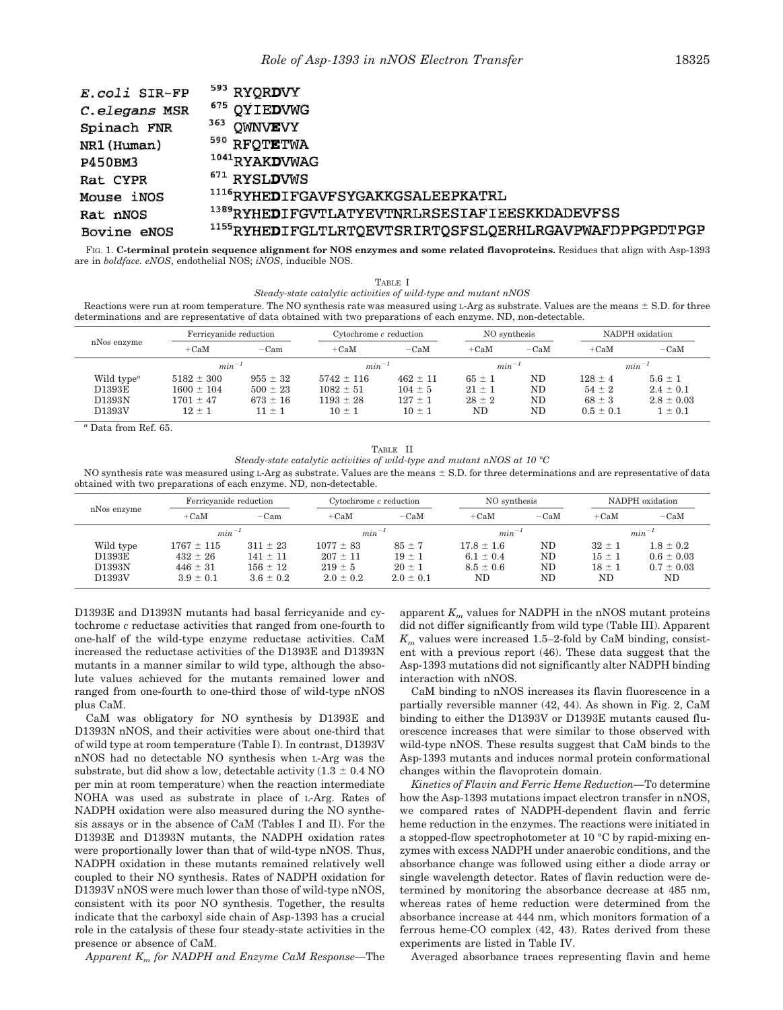| E.coli SIR-FP | <sup>593</sup> RYQR <b>D</b> VY                                             |
|---------------|-----------------------------------------------------------------------------|
| C.elegans MSR | <sup>675</sup> QYIEDVWG                                                     |
| Spinach FNR   | 363<br><b>QWINVEVY</b>                                                      |
| NR1 (Human)   | <sup>590</sup> RFOTETWA                                                     |
| P450BM3       | <sup>1041</sup> RYAK <b>D</b> WAG                                           |
| Rat CYPR      | $671$ RYSLDVWS                                                              |
| Mouse iNOS    | <sup>1116</sup> RYHE <b>D</b> IFGAVFSYGAKKGSALEEPKATRL                      |
| Rat nNOS      | <sup>1389</sup> RYHE <b>D</b> IFGVTLATYEVTNRLRSESIAFIEESKKDADEVFSS          |
| Bovine eNOS   | <sup>1155</sup> RYHE <b>D</b> IFGLTLRTQEVTSRIRTQSFSLQERHLRGAVPWAFDPPGPDTPGP |

FIG. 1. **C-terminal protein sequence alignment for NOS enzymes and some related flavoproteins.** Residues that align with Asp-1393 are in *boldface. eNOS*, endothelial NOS; *iNOS*, inducible NOS.

TABLE I *Steady-state catalytic activities of wild-type and mutant nNOS*

Reactions were run at room temperature. The NO synthesis rate was measured using L-Arg as substrate. Values are the means  $\pm$  S.D. for three determinations and are representative of data obtained with two preparations of each enzyme. ND, non-detectable.

| nNos enzyme                                                       |                                                                 | Ferricyanide reduction                                   |                                                                | Cytochrome c reduction                                   |                                              | NO synthesis         |                                                          | NADPH oxidation                                               |  |
|-------------------------------------------------------------------|-----------------------------------------------------------------|----------------------------------------------------------|----------------------------------------------------------------|----------------------------------------------------------|----------------------------------------------|----------------------|----------------------------------------------------------|---------------------------------------------------------------|--|
|                                                                   | $+CaM$                                                          | $-Cam$                                                   | $+CaM$                                                         | $-CaM$                                                   | $+CaM$                                       | $-CaM$               | $+CaM$                                                   | $-CaM$                                                        |  |
|                                                                   | $min^{-1}$                                                      |                                                          | $min^{-1}$                                                     |                                                          | $min^{-1}$                                   |                      | $min^{-1}$                                               |                                                               |  |
| Wild type <sup><math>a</math></sup><br>D1393E<br>D1393N<br>D1393V | $5182 \pm 300$<br>$1600 \pm 104$<br>$1701 \pm 47$<br>$12 \pm 1$ | $955 \pm 32$<br>$500 \pm 23$<br>$673 \pm 16$<br>$11 + 1$ | $5742 \pm 116$<br>$1082 \pm 51$<br>$1193 \pm 28$<br>$10 \pm 1$ | $462 \pm 11$<br>$104 \pm 5$<br>$127 \pm 1$<br>$10 \pm 1$ | $65 \pm 1$<br>$21 \pm 1$<br>$28 \pm 2$<br>ND | ND<br>ND<br>ND<br>ND | $128 \pm 4$<br>$54 \pm 2$<br>$68 \pm 3$<br>$0.5 \pm 0.1$ | $5.6 \pm 1$<br>$2.4 \pm 0.1$<br>$2.8 \pm 0.03$<br>$1 \pm 0.1$ |  |

*<sup>a</sup>* Data from Ref. 65.

TABLE II *Steady-state catalytic activities of wild-type and mutant nNOS at 10 °C*

NO synthesis rate was measured using L-Arg as substrate. Values are the means  $\pm$  S.D. for three determinations and are representative of data obtained with two preparations of each enzyme. ND, non-detectable.

| nNos enzyme                             |                                                                 | Ferricyanide reduction                                        |                                                               | Cytochrome c reduction                                  |                                                        | NO synthesis         |                                              | NADPH oxidation                                         |  |
|-----------------------------------------|-----------------------------------------------------------------|---------------------------------------------------------------|---------------------------------------------------------------|---------------------------------------------------------|--------------------------------------------------------|----------------------|----------------------------------------------|---------------------------------------------------------|--|
|                                         | $+CaM$                                                          | $-Cam$                                                        | $+CaM$                                                        | $-CaM$                                                  | $+CaM$                                                 | $-CaM$               | $+CaM$                                       | $-CaM$                                                  |  |
|                                         | $min^{-1}$                                                      |                                                               | $min^{-1}$                                                    |                                                         | $min^{-1}$                                             |                      | $min^{-1}$                                   |                                                         |  |
| Wild type<br>D1393E<br>D1393N<br>D1393V | $1767 \pm 115$<br>$432 \pm 26$<br>$446 \pm 31$<br>$3.9 \pm 0.1$ | $311 \pm 23$<br>$141 \pm 11$<br>$156 \pm 12$<br>$3.6 \pm 0.2$ | $1077 \pm 83$<br>$207 \pm 11$<br>$219 \pm 5$<br>$2.0 \pm 0.2$ | $85 \pm 7$<br>$19 \pm 1$<br>$20 \pm 1$<br>$2.0 \pm 0.1$ | $17.8 \pm 1.6$<br>$6.1 \pm 0.4$<br>$8.5 \pm 0.6$<br>ND | ND<br>ND<br>ND<br>ND | $32 \pm 1$<br>$15 \pm 1$<br>$18 \pm 1$<br>ND | $1.8 \pm 0.2$<br>$0.6 \pm 0.03$<br>$0.7 \pm 0.03$<br>ND |  |

D1393E and D1393N mutants had basal ferricyanide and cytochrome *c* reductase activities that ranged from one-fourth to one-half of the wild-type enzyme reductase activities. CaM increased the reductase activities of the D1393E and D1393N mutants in a manner similar to wild type, although the absolute values achieved for the mutants remained lower and ranged from one-fourth to one-third those of wild-type nNOS plus CaM.

CaM was obligatory for NO synthesis by D1393E and D1393N nNOS, and their activities were about one-third that of wild type at room temperature (Table I). In contrast, D1393V nNOS had no detectable NO synthesis when L-Arg was the substrate, but did show a low, detectable activity  $(1.3 \pm 0.4 \text{ NO})$ per min at room temperature) when the reaction intermediate NOHA was used as substrate in place of L-Arg. Rates of NADPH oxidation were also measured during the NO synthesis assays or in the absence of CaM (Tables I and II). For the D1393E and D1393N mutants, the NADPH oxidation rates were proportionally lower than that of wild-type nNOS. Thus, NADPH oxidation in these mutants remained relatively well coupled to their NO synthesis. Rates of NADPH oxidation for D1393V nNOS were much lower than those of wild-type nNOS, consistent with its poor NO synthesis. Together, the results indicate that the carboxyl side chain of Asp-1393 has a crucial role in the catalysis of these four steady-state activities in the presence or absence of CaM.

*Apparent K<sup>m</sup> for NADPH and Enzyme CaM Response—*The

apparent  $K_m$  values for NADPH in the nNOS mutant proteins did not differ significantly from wild type (Table III). Apparent  $K<sub>m</sub>$  values were increased 1.5–2-fold by CaM binding, consistent with a previous report (46). These data suggest that the Asp-1393 mutations did not significantly alter NADPH binding interaction with nNOS.

CaM binding to nNOS increases its flavin fluorescence in a partially reversible manner (42, 44). As shown in Fig. 2, CaM binding to either the D1393V or D1393E mutants caused fluorescence increases that were similar to those observed with wild-type nNOS. These results suggest that CaM binds to the Asp-1393 mutants and induces normal protein conformational changes within the flavoprotein domain.

*Kinetics of Flavin and Ferric Heme Reduction—*To determine how the Asp-1393 mutations impact electron transfer in nNOS, we compared rates of NADPH-dependent flavin and ferric heme reduction in the enzymes. The reactions were initiated in a stopped-flow spectrophotometer at 10 °C by rapid-mixing enzymes with excess NADPH under anaerobic conditions, and the absorbance change was followed using either a diode array or single wavelength detector. Rates of flavin reduction were determined by monitoring the absorbance decrease at 485 nm, whereas rates of heme reduction were determined from the absorbance increase at 444 nm, which monitors formation of a ferrous heme-CO complex (42, 43). Rates derived from these experiments are listed in Table IV.

Averaged absorbance traces representing flavin and heme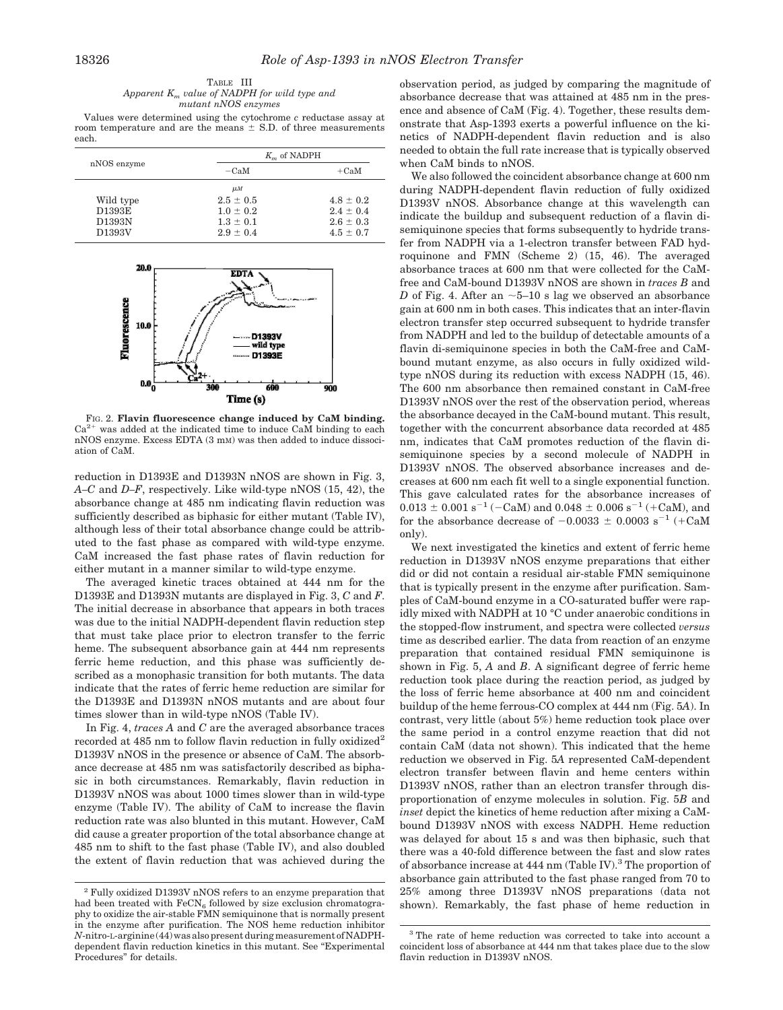| TABLE III                                       |  |  |  |  |  |  |
|-------------------------------------------------|--|--|--|--|--|--|
| Apparent $K_m$ value of NADPH for wild type and |  |  |  |  |  |  |
| mutant nNOS enzymes                             |  |  |  |  |  |  |

Values were determined using the cytochrome *c* reductase assay at room temperature and are the means  $\pm$  S.D. of three measurements each.

|             | $K_m$ of NADPH |               |
|-------------|----------------|---------------|
| nNOS enzyme | $-CaM$         | $+CaM$        |
|             | $\mu$ <i>M</i> |               |
| Wild type   | $2.5 \pm 0.5$  | $4.8 \pm 0.2$ |
| D1393E      | $1.0 \pm 0.2$  | $2.4 \pm 0.4$ |
| D1393N      | $1.3 \pm 0.1$  | $2.6 \pm 0.3$ |
| D1393V      | $2.9 \pm 0.4$  | $4.5 \pm 0.7$ |



FIG. 2. **Flavin fluorescence change induced by CaM binding.**  $Ca<sup>2+</sup>$  was added at the indicated time to induce CaM binding to each nNOS enzyme. Excess EDTA (3 mM) was then added to induce dissociation of CaM.

reduction in D1393E and D1393N nNOS are shown in Fig. 3, *A–C* and *D–F*, respectively. Like wild-type nNOS (15, 42), the absorbance change at 485 nm indicating flavin reduction was sufficiently described as biphasic for either mutant (Table IV), although less of their total absorbance change could be attributed to the fast phase as compared with wild-type enzyme. CaM increased the fast phase rates of flavin reduction for either mutant in a manner similar to wild-type enzyme.

The averaged kinetic traces obtained at 444 nm for the D1393E and D1393N mutants are displayed in Fig. 3, *C* and *F*. The initial decrease in absorbance that appears in both traces was due to the initial NADPH-dependent flavin reduction step that must take place prior to electron transfer to the ferric heme. The subsequent absorbance gain at 444 nm represents ferric heme reduction, and this phase was sufficiently described as a monophasic transition for both mutants. The data indicate that the rates of ferric heme reduction are similar for the D1393E and D1393N nNOS mutants and are about four times slower than in wild-type nNOS (Table IV).

In Fig. 4, *traces A* and *C* are the averaged absorbance traces recorded at 485 nm to follow flavin reduction in fully oxidized<sup>2</sup> D1393V nNOS in the presence or absence of CaM. The absorbance decrease at 485 nm was satisfactorily described as biphasic in both circumstances. Remarkably, flavin reduction in D1393V nNOS was about 1000 times slower than in wild-type enzyme (Table IV). The ability of CaM to increase the flavin reduction rate was also blunted in this mutant. However, CaM did cause a greater proportion of the total absorbance change at 485 nm to shift to the fast phase (Table IV), and also doubled the extent of flavin reduction that was achieved during the observation period, as judged by comparing the magnitude of absorbance decrease that was attained at 485 nm in the presence and absence of CaM (Fig. 4). Together, these results demonstrate that Asp-1393 exerts a powerful influence on the kinetics of NADPH-dependent flavin reduction and is also needed to obtain the full rate increase that is typically observed when CaM binds to nNOS.

We also followed the coincident absorbance change at 600 nm during NADPH-dependent flavin reduction of fully oxidized D1393V nNOS. Absorbance change at this wavelength can indicate the buildup and subsequent reduction of a flavin disemiquinone species that forms subsequently to hydride transfer from NADPH via a 1-electron transfer between FAD hydroquinone and FMN (Scheme 2) (15, 46). The averaged absorbance traces at 600 nm that were collected for the CaMfree and CaM-bound D1393V nNOS are shown in *traces B* and *D* of Fig. 4. After an  $\sim$  5–10 s lag we observed an absorbance gain at 600 nm in both cases. This indicates that an inter-flavin electron transfer step occurred subsequent to hydride transfer from NADPH and led to the buildup of detectable amounts of a flavin di-semiquinone species in both the CaM-free and CaMbound mutant enzyme, as also occurs in fully oxidized wildtype nNOS during its reduction with excess NADPH (15, 46). The 600 nm absorbance then remained constant in CaM-free D1393V nNOS over the rest of the observation period, whereas the absorbance decayed in the CaM-bound mutant. This result, together with the concurrent absorbance data recorded at 485 nm, indicates that CaM promotes reduction of the flavin disemiquinone species by a second molecule of NADPH in D1393V nNOS. The observed absorbance increases and decreases at 600 nm each fit well to a single exponential function. This gave calculated rates for the absorbance increases of  $0.013 \pm 0.001 \text{ s}^{-1}$  (-CaM) and  $0.048 \pm 0.006 \text{ s}^{-1}$  (+CaM), and for the absorbance decrease of  $-0.0033 \pm 0.0003$  s<sup>-1</sup> (+CaM only).

We next investigated the kinetics and extent of ferric heme reduction in D1393V nNOS enzyme preparations that either did or did not contain a residual air-stable FMN semiquinone that is typically present in the enzyme after purification. Samples of CaM-bound enzyme in a CO-saturated buffer were rapidly mixed with NADPH at 10 °C under anaerobic conditions in the stopped-flow instrument, and spectra were collected *versus* time as described earlier. The data from reaction of an enzyme preparation that contained residual FMN semiquinone is shown in Fig. 5, *A* and *B*. A significant degree of ferric heme reduction took place during the reaction period, as judged by the loss of ferric heme absorbance at 400 nm and coincident buildup of the heme ferrous-CO complex at 444 nm (Fig. 5*A*). In contrast, very little (about 5%) heme reduction took place over the same period in a control enzyme reaction that did not contain CaM (data not shown). This indicated that the heme reduction we observed in Fig. 5*A* represented CaM-dependent electron transfer between flavin and heme centers within D1393V nNOS, rather than an electron transfer through disproportionation of enzyme molecules in solution. Fig. 5*B* and *inset* depict the kinetics of heme reduction after mixing a CaMbound D1393V nNOS with excess NADPH. Heme reduction was delayed for about 15 s and was then biphasic, such that there was a 40-fold difference between the fast and slow rates of absorbance increase at 444 nm (Table IV).<sup>3</sup> The proportion of absorbance gain attributed to the fast phase ranged from 70 to 25% among three D1393V nNOS preparations (data not shown). Remarkably, the fast phase of heme reduction in

 $^{\rm 2}$  Fully oxidized D1393V nNOS refers to an enzyme preparation that had been treated with  $\text{FeCN}_6$  followed by size exclusion chromatography to oxidize the air-stable FMN semiquinone that is normally present in the enzyme after purification. The NOS heme reduction inhibitor *N*-nitro-L-arginine(44)wasalsopresentduringmeasurementofNADPHdependent flavin reduction kinetics in this mutant. See "Experimental Procedures" for details.

<sup>3</sup> The rate of heme reduction was corrected to take into account a coincident loss of absorbance at 444 nm that takes place due to the slow flavin reduction in D1393V nNOS.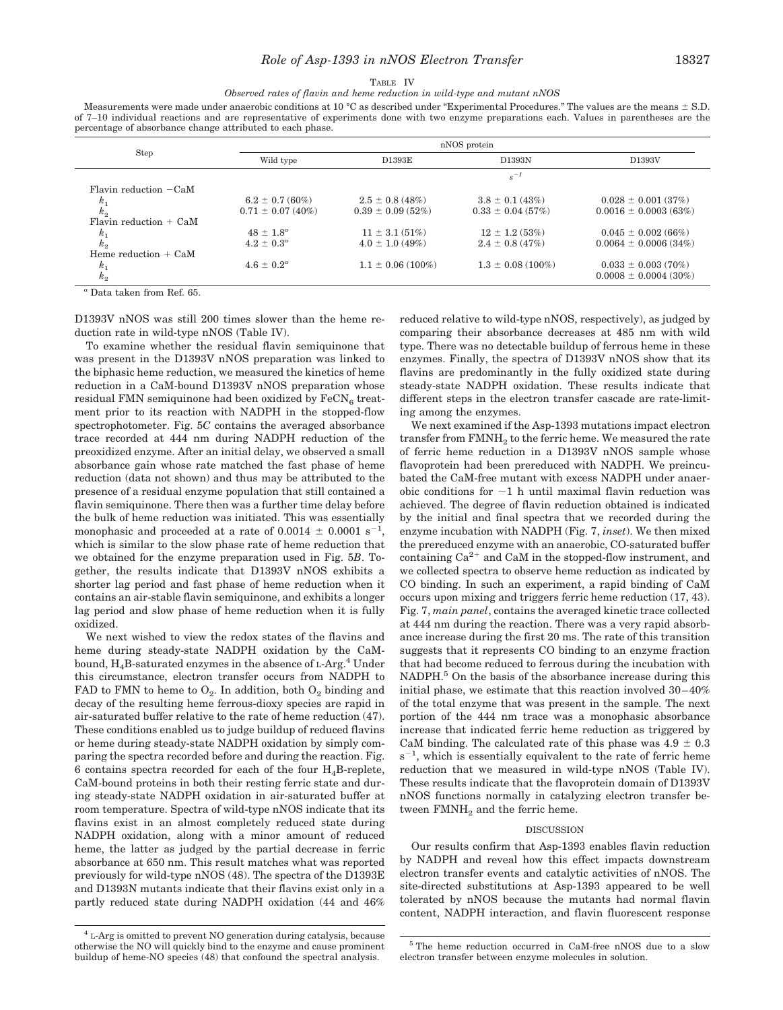#### TABLE IV *Observed rates of flavin and heme reduction in wild-type and mutant nNOS*

Measurements were made under anaerobic conditions at 10 °C as described under "Experimental Procedures." The values are the means  $\pm$  S.D. of 7–10 individual reactions and are representative of experiments done with two enzyme preparations each. Values in parentheses are the percentage of absorbance change attributed to each phase.

|                                                                               | nNOS protein          |                       |                       |                           |  |  |
|-------------------------------------------------------------------------------|-----------------------|-----------------------|-----------------------|---------------------------|--|--|
| Step                                                                          | Wild type             | D1393E                | D1393N                | D1393V                    |  |  |
|                                                                               |                       | $s^{-1}$              |                       |                           |  |  |
| Flavin reduction $-CaM$                                                       |                       |                       |                       |                           |  |  |
| $k_{1}$                                                                       | $6.2 \pm 0.7$ (60%)   | $2.5 \pm 0.8$ (48%)   | $3.8 \pm 0.1$ (43%)   | $0.028 \pm 0.001$ (37%)   |  |  |
| $k_2$                                                                         | $0.71 \pm 0.07$ (40%) | $0.39 \pm 0.09$ (52%) | $0.33 \pm 0.04$ (57%) | $0.0016 \pm 0.0003(63%)$  |  |  |
| Flavin reduction $+$ CaM                                                      |                       |                       |                       |                           |  |  |
|                                                                               | $48 \pm 1.8^a$        | $11 \pm 3.1 (51\%)$   | $12 \pm 1.2$ (53%)    | $0.045 \pm 0.002$ (66%)   |  |  |
| $\frac{k_1}{k_2}$                                                             | $4.2 \pm 0.3^a$       | $4.0 \pm 1.0$ (49%)   | $2.4 \pm 0.8$ (47%)   | $0.0064 \pm 0.0006(34\%)$ |  |  |
| Heme reduction $+$ CaM                                                        |                       |                       |                       |                           |  |  |
|                                                                               | $4.6 \pm 0.2^a$       | $1.1 \pm 0.06$ (100%) | $1.3 \pm 0.08$ (100%) | $0.033 \pm 0.003(70\%)$   |  |  |
| $k_{2}$                                                                       |                       |                       |                       | $0.0008 \pm 0.0004$ (30%) |  |  |
| $k_{1}$<br>$\sim$ $\sim$ $\sim$ $\sim$ $\sim$ $\sim$<br>$\mathbf{r}$ $\alpha$ |                       |                       |                       |                           |  |  |

*<sup>a</sup>* Data taken from Ref. 65.

D1393V nNOS was still 200 times slower than the heme reduction rate in wild-type nNOS (Table IV).

To examine whether the residual flavin semiquinone that was present in the D1393V nNOS preparation was linked to the biphasic heme reduction, we measured the kinetics of heme reduction in a CaM-bound D1393V nNOS preparation whose residual FMN semiquinone had been oxidized by  ${\rm FeCN}_6$  treatment prior to its reaction with NADPH in the stopped-flow spectrophotometer. Fig. 5*C* contains the averaged absorbance trace recorded at 444 nm during NADPH reduction of the preoxidized enzyme. After an initial delay, we observed a small absorbance gain whose rate matched the fast phase of heme reduction (data not shown) and thus may be attributed to the presence of a residual enzyme population that still contained a flavin semiquinone. There then was a further time delay before the bulk of heme reduction was initiated. This was essentially monophasic and proceeded at a rate of 0.0014  $\pm$  0.0001 s<sup>-1</sup> , which is similar to the slow phase rate of heme reduction that we obtained for the enzyme preparation used in Fig. 5*B*. Together, the results indicate that D1393V nNOS exhibits a shorter lag period and fast phase of heme reduction when it contains an air-stable flavin semiquinone, and exhibits a longer lag period and slow phase of heme reduction when it is fully oxidized.

We next wished to view the redox states of the flavins and heme during steady-state NADPH oxidation by the CaMbound,  $H_4B$ -saturated enzymes in the absence of L-Arg.<sup>4</sup> Under this circumstance, electron transfer occurs from NADPH to FAD to FMN to heme to  $O_2$ . In addition, both  $O_2$  binding and decay of the resulting heme ferrous-dioxy species are rapid in air-saturated buffer relative to the rate of heme reduction (47). These conditions enabled us to judge buildup of reduced flavins or heme during steady-state NADPH oxidation by simply comparing the spectra recorded before and during the reaction. Fig. 6 contains spectra recorded for each of the four  $H_4B$ -replete, CaM-bound proteins in both their resting ferric state and during steady-state NADPH oxidation in air-saturated buffer at room temperature. Spectra of wild-type nNOS indicate that its flavins exist in an almost completely reduced state during NADPH oxidation, along with a minor amount of reduced heme, the latter as judged by the partial decrease in ferric absorbance at 650 nm. This result matches what was reported previously for wild-type nNOS (48). The spectra of the D1393E and D1393N mutants indicate that their flavins exist only in a partly reduced state during NADPH oxidation (44 and 46%

reduced relative to wild-type nNOS, respectively), as judged by comparing their absorbance decreases at 485 nm with wild type. There was no detectable buildup of ferrous heme in these enzymes. Finally, the spectra of D1393V nNOS show that its flavins are predominantly in the fully oxidized state during steady-state NADPH oxidation. These results indicate that different steps in the electron transfer cascade are rate-limiting among the enzymes.

We next examined if the Asp-1393 mutations impact electron transfer from  $\mathrm{FMMH}_2$  to the ferric heme. We measured the rate of ferric heme reduction in a D1393V nNOS sample whose flavoprotein had been prereduced with NADPH. We preincubated the CaM-free mutant with excess NADPH under anaerobic conditions for  $\sim$ 1 h until maximal flavin reduction was achieved. The degree of flavin reduction obtained is indicated by the initial and final spectra that we recorded during the enzyme incubation with NADPH (Fig. 7, *inset*). We then mixed the prereduced enzyme with an anaerobic, CO-saturated buffer containing  $Ca^{2+}$  and CaM in the stopped-flow instrument, and we collected spectra to observe heme reduction as indicated by CO binding. In such an experiment, a rapid binding of CaM occurs upon mixing and triggers ferric heme reduction (17, 43). Fig. 7, *main panel*, contains the averaged kinetic trace collected at 444 nm during the reaction. There was a very rapid absorbance increase during the first 20 ms. The rate of this transition suggests that it represents CO binding to an enzyme fraction that had become reduced to ferrous during the incubation with NADPH.<sup>5</sup> On the basis of the absorbance increase during this initial phase, we estimate that this reaction involved 30–40% of the total enzyme that was present in the sample. The next portion of the 444 nm trace was a monophasic absorbance increase that indicated ferric heme reduction as triggered by CaM binding. The calculated rate of this phase was  $4.9 \pm 0.3$  $s^{-1}$ , which is essentially equivalent to the rate of ferric heme reduction that we measured in wild-type nNOS (Table IV). These results indicate that the flavoprotein domain of D1393V nNOS functions normally in catalyzing electron transfer between FMNH<sub>2</sub> and the ferric heme.

#### DISCUSSION

Our results confirm that Asp-1393 enables flavin reduction by NADPH and reveal how this effect impacts downstream electron transfer events and catalytic activities of nNOS. The site-directed substitutions at Asp-1393 appeared to be well tolerated by nNOS because the mutants had normal flavin content, NADPH interaction, and flavin fluorescent response

<sup>4</sup> L-Arg is omitted to prevent NO generation during catalysis, because otherwise the NO will quickly bind to the enzyme and cause prominent buildup of heme-NO species (48) that confound the spectral analysis.

<sup>5</sup> The heme reduction occurred in CaM-free nNOS due to a slow electron transfer between enzyme molecules in solution.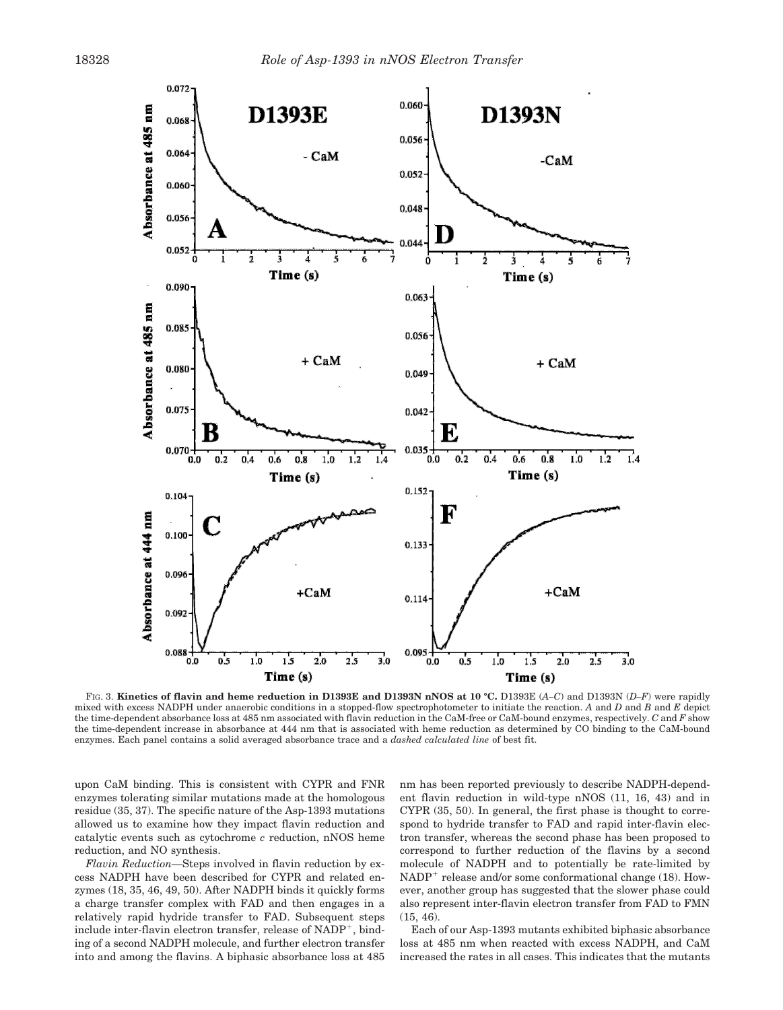

FIG. 3. **Kinetics of flavin and heme reduction in D1393E and D1393N nNOS at 10 °C.** D1393E (*A–C*) and D1393N (*D–F*) were rapidly mixed with excess NADPH under anaerobic conditions in a stopped-flow spectrophotometer to initiate the reaction. *A* and *D* and *B* and *E* depict the time-dependent absorbance loss at 485 nm associated with flavin reduction in the CaM-free or CaM-bound enzymes, respectively. *C* and *F* show the time-dependent increase in absorbance at 444 nm that is associated with heme reduction as determined by CO binding to the CaM-bound enzymes. Each panel contains a solid averaged absorbance trace and a *dashed calculated line* of best fit.

upon CaM binding. This is consistent with CYPR and FNR enzymes tolerating similar mutations made at the homologous residue (35, 37). The specific nature of the Asp-1393 mutations allowed us to examine how they impact flavin reduction and catalytic events such as cytochrome *c* reduction, nNOS heme reduction, and NO synthesis.

*Flavin Reduction—*Steps involved in flavin reduction by excess NADPH have been described for CYPR and related enzymes (18, 35, 46, 49, 50). After NADPH binds it quickly forms a charge transfer complex with FAD and then engages in a relatively rapid hydride transfer to FAD. Subsequent steps include inter-flavin electron transfer, release of NADP<sup>+</sup>, binding of a second NADPH molecule, and further electron transfer into and among the flavins. A biphasic absorbance loss at 485

nm has been reported previously to describe NADPH-dependent flavin reduction in wild-type nNOS (11, 16, 43) and in CYPR (35, 50). In general, the first phase is thought to correspond to hydride transfer to FAD and rapid inter-flavin electron transfer, whereas the second phase has been proposed to correspond to further reduction of the flavins by a second molecule of NADPH and to potentially be rate-limited by NADP<sup>+</sup> release and/or some conformational change (18). However, another group has suggested that the slower phase could also represent inter-flavin electron transfer from FAD to FMN (15, 46).

Each of our Asp-1393 mutants exhibited biphasic absorbance loss at 485 nm when reacted with excess NADPH, and CaM increased the rates in all cases. This indicates that the mutants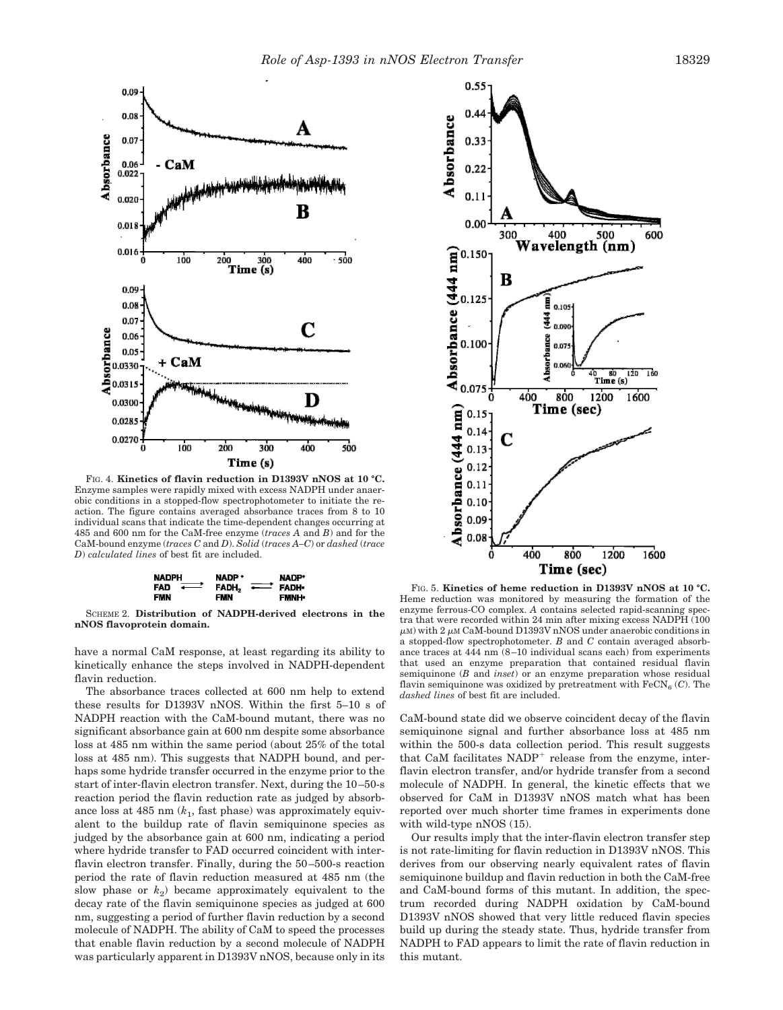

FIG. 4. **Kinetics of flavin reduction in D1393V nNOS at 10 °C.** Enzyme samples were rapidly mixed with excess NADPH under anaerobic conditions in a stopped-flow spectrophotometer to initiate the reaction. The figure contains averaged absorbance traces from 8 to 10 individual scans that indicate the time-dependent changes occurring at 485 and 600 nm for the CaM-free enzyme (*traces A* and *B*) and for the CaM-bound enzyme (*traces C* and *D*). *Solid* (*traces A–C*) or *dashed* (*trace D*) *calculated lines* of best fit are included.



SCHEME 2. **Distribution of NADPH-derived electrons in the nNOS flavoprotein domain.**

have a normal CaM response, at least regarding its ability to kinetically enhance the steps involved in NADPH-dependent flavin reduction.

The absorbance traces collected at 600 nm help to extend these results for D1393V nNOS. Within the first 5–10 s of NADPH reaction with the CaM-bound mutant, there was no significant absorbance gain at 600 nm despite some absorbance loss at 485 nm within the same period (about 25% of the total loss at 485 nm). This suggests that NADPH bound, and perhaps some hydride transfer occurred in the enzyme prior to the start of inter-flavin electron transfer. Next, during the 10–50-s reaction period the flavin reduction rate as judged by absorbance loss at 485 nm (*k*<sup>1</sup> , fast phase) was approximately equivalent to the buildup rate of flavin semiquinone species as judged by the absorbance gain at 600 nm, indicating a period where hydride transfer to FAD occurred coincident with interflavin electron transfer. Finally, during the 50–500-s reaction period the rate of flavin reduction measured at 485 nm (the slow phase or  $k_2$ ) became approximately equivalent to the decay rate of the flavin semiquinone species as judged at 600 nm, suggesting a period of further flavin reduction by a second molecule of NADPH. The ability of CaM to speed the processes that enable flavin reduction by a second molecule of NADPH was particularly apparent in D1393V nNOS, because only in its



FIG. 5. **Kinetics of heme reduction in D1393V nNOS at 10 °C.** Heme reduction was monitored by measuring the formation of the enzyme ferrous-CO complex. *A* contains selected rapid-scanning spectra that were recorded within 24 min after mixing excess NADPH (100  $\mu$ м) with 2  $\mu$ м CaM-bound D1393V nNOS under anaerobic conditions in a stopped-flow spectrophotometer. *B* and *C* contain averaged absorbance traces at 444 nm (8–10 individual scans each) from experiments that used an enzyme preparation that contained residual flavin semiquinone (*B* and *inset*) or an enzyme preparation whose residual flavin semiquinone was oxidized by pretreatment with  $\text{FeCN}_6$  (*C*). The *dashed lines* of best fit are included.

CaM-bound state did we observe coincident decay of the flavin semiquinone signal and further absorbance loss at 485 nm within the 500-s data collection period. This result suggests that CaM facilitates NADP<sup>+</sup> release from the enzyme, interflavin electron transfer, and/or hydride transfer from a second molecule of NADPH. In general, the kinetic effects that we observed for CaM in D1393V nNOS match what has been reported over much shorter time frames in experiments done with wild-type nNOS (15).

Our results imply that the inter-flavin electron transfer step is not rate-limiting for flavin reduction in D1393V nNOS. This derives from our observing nearly equivalent rates of flavin semiquinone buildup and flavin reduction in both the CaM-free and CaM-bound forms of this mutant. In addition, the spectrum recorded during NADPH oxidation by CaM-bound D1393V nNOS showed that very little reduced flavin species build up during the steady state. Thus, hydride transfer from NADPH to FAD appears to limit the rate of flavin reduction in this mutant.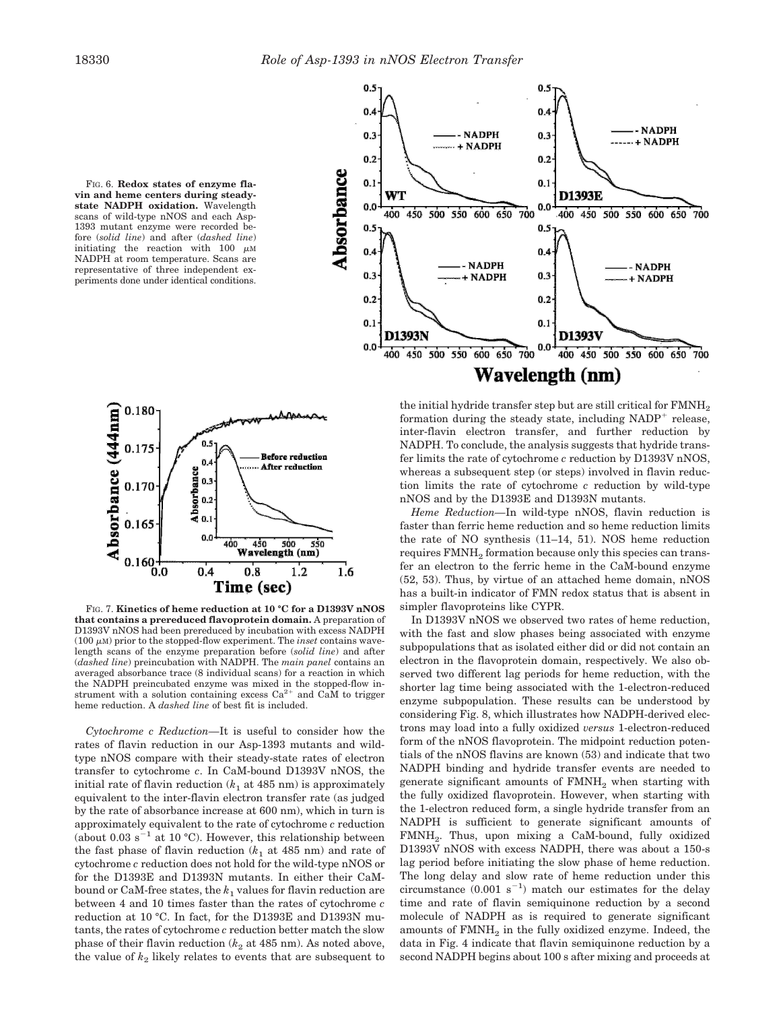



FIG. 7. **Kinetics of heme reduction at 10 °C for a D1393V nNOS that contains a prereduced flavoprotein domain.** A preparation of D1393V nNOS had been prereduced by incubation with excess NADPH  $(100 \mu M)$  prior to the stopped-flow experiment. The *inset* contains wavelength scans of the enzyme preparation before (*solid line*) and after (*dashed line*) preincubation with NADPH. The *main panel* contains an averaged absorbance trace (8 individual scans) for a reaction in which the NADPH preincubated enzyme was mixed in the stopped-flow instrument with a solution containing excess  $Ca^{2+}$ and CaM to trigger heme reduction. A *dashed line* of best fit is included.

*Cytochrome c Reduction—*It is useful to consider how the rates of flavin reduction in our Asp-1393 mutants and wildtype nNOS compare with their steady-state rates of electron transfer to cytochrome *c*. In CaM-bound D1393V nNOS, the initial rate of flavin reduction  $(k_1 \text{ at } 485 \text{ nm})$  is approximately equivalent to the inter-flavin electron transfer rate (as judged by the rate of absorbance increase at 600 nm), which in turn is approximately equivalent to the rate of cytochrome *c* reduction (about 0.03  $s^{-1}$  at 10 °C). However, this relationship between the fast phase of flavin reduction  $(k_1$  at 485 nm) and rate of cytochrome *c* reduction does not hold for the wild-type nNOS or for the D1393E and D1393N mutants. In either their CaMbound or CaM-free states, the  $k_1$  values for flavin reduction are between 4 and 10 times faster than the rates of cytochrome *c* reduction at 10 °C. In fact, for the D1393E and D1393N mutants, the rates of cytochrome *c* reduction better match the slow phase of their flavin reduction  $(k_2 \text{ at } 485 \text{ nm})$ . As noted above, the value of  $k_2$  likely relates to events that are subsequent to



the initial hydride transfer step but are still critical for FMNH<sub>2</sub> formation during the steady state, including  $NADP^+$  release, inter-flavin electron transfer, and further reduction by NADPH. To conclude, the analysis suggests that hydride transfer limits the rate of cytochrome *c* reduction by D1393V nNOS, whereas a subsequent step (or steps) involved in flavin reduction limits the rate of cytochrome *c* reduction by wild-type nNOS and by the D1393E and D1393N mutants.

*Heme Reduction—*In wild-type nNOS, flavin reduction is faster than ferric heme reduction and so heme reduction limits the rate of NO synthesis (11–14, 51). NOS heme reduction requires  $\mathrm{FMMH}_2$  formation because only this species can transfer an electron to the ferric heme in the CaM-bound enzyme (52, 53). Thus, by virtue of an attached heme domain, nNOS has a built-in indicator of FMN redox status that is absent in simpler flavoproteins like CYPR.

In D1393V nNOS we observed two rates of heme reduction, with the fast and slow phases being associated with enzyme subpopulations that as isolated either did or did not contain an electron in the flavoprotein domain, respectively. We also observed two different lag periods for heme reduction, with the shorter lag time being associated with the 1-electron-reduced enzyme subpopulation. These results can be understood by considering Fig. 8, which illustrates how NADPH-derived electrons may load into a fully oxidized *versus* 1-electron-reduced form of the nNOS flavoprotein. The midpoint reduction potentials of the nNOS flavins are known (53) and indicate that two NADPH binding and hydride transfer events are needed to generate significant amounts of  $\text{FMNH}_2$  when starting with the fully oxidized flavoprotein. However, when starting with the 1-electron reduced form, a single hydride transfer from an NADPH is sufficient to generate significant amounts of FMNH<sup>2</sup> . Thus, upon mixing a CaM-bound, fully oxidized D1393V nNOS with excess NADPH, there was about a 150-s lag period before initiating the slow phase of heme reduction. The long delay and slow rate of heme reduction under this circumstance  $(0.001 \text{ s}^{-1})$  match our estimates for the delay time and rate of flavin semiquinone reduction by a second molecule of NADPH as is required to generate significant amounts of  $\text{FMNH}_2$  in the fully oxidized enzyme. Indeed, the data in Fig. 4 indicate that flavin semiquinone reduction by a second NADPH begins about 100 s after mixing and proceeds at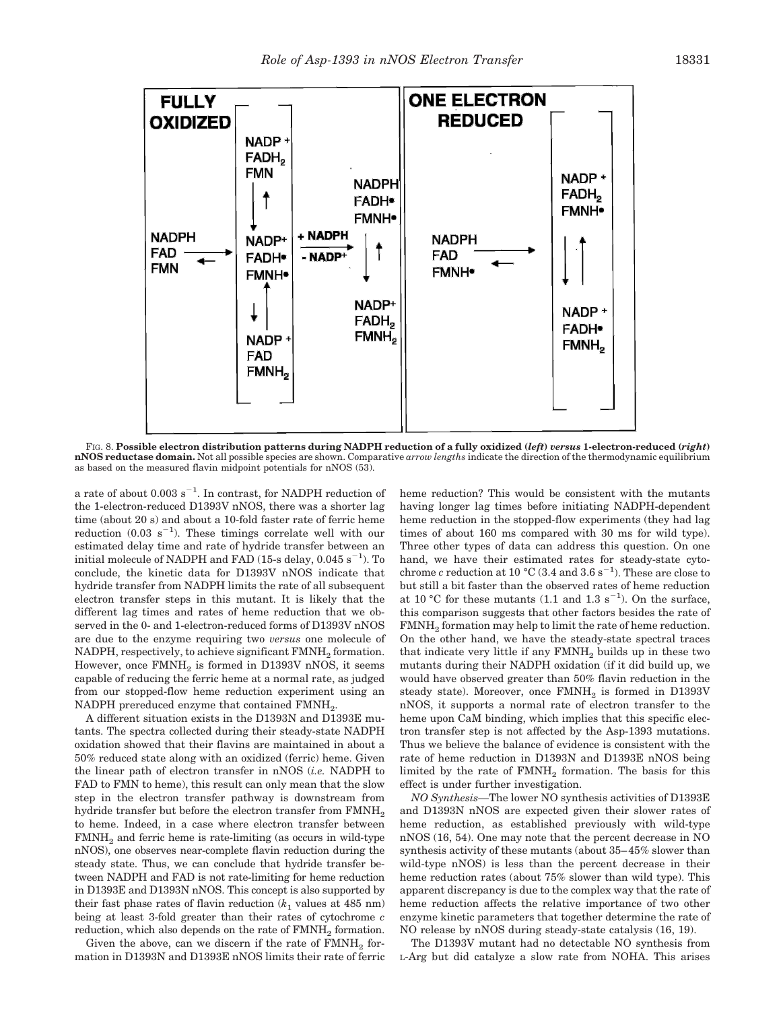

FIG. 8. **Possible electron distribution patterns during NADPH reduction of a fully oxidized (***left***)** *versus* **1-electron-reduced (***right***) nNOS reductase domain.** Not all possible species are shown. Comparative *arrow lengths* indicate the direction of the thermodynamic equilibrium as based on the measured flavin midpoint potentials for nNOS (53).

a rate of about  $0.003$  s<sup>-1</sup>. In contrast, for NADPH reduction of the 1-electron-reduced D1393V nNOS, there was a shorter lag time (about 20 s) and about a 10-fold faster rate of ferric heme reduction  $(0.03 \text{ s}^{-1})$ . These timings correlate well with our estimated delay time and rate of hydride transfer between an initial molecule of NADPH and FAD (15-s delay,  $0.045$  s<sup>-1</sup>). To conclude, the kinetic data for D1393V nNOS indicate that hydride transfer from NADPH limits the rate of all subsequent electron transfer steps in this mutant. It is likely that the different lag times and rates of heme reduction that we observed in the 0- and 1-electron-reduced forms of D1393V nNOS are due to the enzyme requiring two *versus* one molecule of  $\mathrm{NADPH},$  respectively, to achieve significant  $\mathrm{FMMH}_2$  formation. However, once  $\text{FMNH}_2$  is formed in D1393V nNOS, it seems capable of reducing the ferric heme at a normal rate, as judged from our stopped-flow heme reduction experiment using an  $NADPH$  prereduced enzyme that contained  $\mathrm{FMMI}_2$ .

A different situation exists in the D1393N and D1393E mutants. The spectra collected during their steady-state NADPH oxidation showed that their flavins are maintained in about a 50% reduced state along with an oxidized (ferric) heme. Given the linear path of electron transfer in nNOS (*i.e.* NADPH to FAD to FMN to heme), this result can only mean that the slow step in the electron transfer pathway is downstream from hydride transfer but before the electron transfer from FMNH<sub>2</sub> to heme. Indeed, in a case where electron transfer between  $FMMH<sub>2</sub>$  and ferric heme is rate-limiting (as occurs in wild-type nNOS), one observes near-complete flavin reduction during the steady state. Thus, we can conclude that hydride transfer between NADPH and FAD is not rate-limiting for heme reduction in D1393E and D1393N nNOS. This concept is also supported by their fast phase rates of flavin reduction  $(k_1$  values at 485 nm) being at least 3-fold greater than their rates of cytochrome *c* reduction, which also depends on the rate of  $\mathrm{FMNH}_2$  formation.

Given the above, can we discern if the rate of  $\text{FMNH}_2$  formation in D1393N and D1393E nNOS limits their rate of ferric heme reduction? This would be consistent with the mutants having longer lag times before initiating NADPH-dependent heme reduction in the stopped-flow experiments (they had lag times of about 160 ms compared with 30 ms for wild type). Three other types of data can address this question. On one hand, we have their estimated rates for steady-state cytochrome *c* reduction at 10 °C (3.4 and 3.6 s<sup>-1</sup>). These are close to but still a bit faster than the observed rates of heme reduction at 10 °C for these mutants  $(1.1 \text{ and } 1.3 \text{ s}^{-1})$ . On the surface, this comparison suggests that other factors besides the rate of  $\text{FMNH}_2$  formation may help to limit the rate of heme reduction. On the other hand, we have the steady-state spectral traces that indicate very little if any FMNH<sub>2</sub> builds up in these two mutants during their NADPH oxidation (if it did build up, we would have observed greater than 50% flavin reduction in the steady state). Moreover, once  $\text{FMNH}_2$  is formed in D1393V nNOS, it supports a normal rate of electron transfer to the heme upon CaM binding, which implies that this specific electron transfer step is not affected by the Asp-1393 mutations. Thus we believe the balance of evidence is consistent with the rate of heme reduction in D1393N and D1393E nNOS being limited by the rate of  $\mathrm{FMMH}_2$  formation. The basis for this effect is under further investigation.

*NO Synthesis—*The lower NO synthesis activities of D1393E and D1393N nNOS are expected given their slower rates of heme reduction, as established previously with wild-type nNOS (16, 54). One may note that the percent decrease in NO synthesis activity of these mutants (about 35–45% slower than wild-type nNOS) is less than the percent decrease in their heme reduction rates (about 75% slower than wild type). This apparent discrepancy is due to the complex way that the rate of heme reduction affects the relative importance of two other enzyme kinetic parameters that together determine the rate of NO release by nNOS during steady-state catalysis (16, 19).

The D1393V mutant had no detectable NO synthesis from L-Arg but did catalyze a slow rate from NOHA. This arises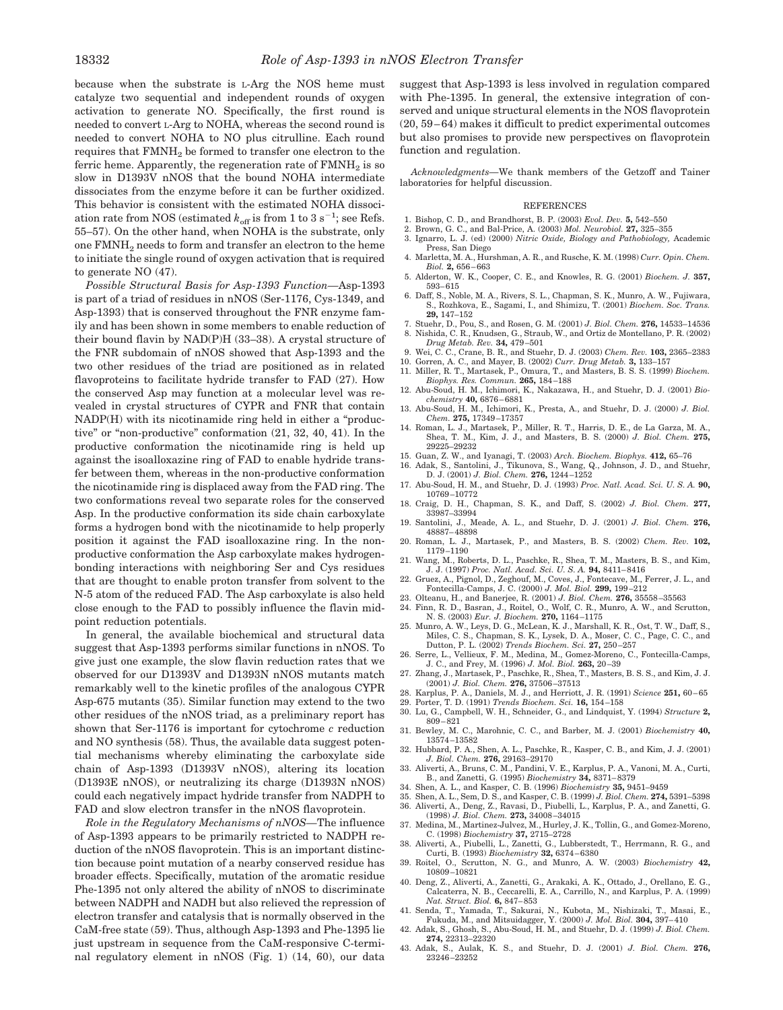because when the substrate is L-Arg the NOS heme must catalyze two sequential and independent rounds of oxygen activation to generate NO. Specifically, the first round is needed to convert L-Arg to NOHA, whereas the second round is needed to convert NOHA to NO plus citrulline. Each round requires that FMNH<sub>2</sub> be formed to transfer one electron to the ferric heme. Apparently, the regeneration rate of  $\mathrm{FMNH}_2$  is so slow in D1393V nNOS that the bound NOHA intermediate dissociates from the enzyme before it can be further oxidized. This behavior is consistent with the estimated NOHA dissociation rate from NOS (estimated  $k_{\text{off}}$  is from 1 to 3 s<sup>-1</sup>; see Refs. 55–57). On the other hand, when NOHA is the substrate, only one FMNH<sub>2</sub> needs to form and transfer an electron to the heme to initiate the single round of oxygen activation that is required to generate NO (47).

*Possible Structural Basis for Asp-1393 Function—*Asp-1393 is part of a triad of residues in nNOS (Ser-1176, Cys-1349, and Asp-1393) that is conserved throughout the FNR enzyme family and has been shown in some members to enable reduction of their bound flavin by NAD(P)H (33–38). A crystal structure of the FNR subdomain of nNOS showed that Asp-1393 and the two other residues of the triad are positioned as in related flavoproteins to facilitate hydride transfer to FAD (27). How the conserved Asp may function at a molecular level was revealed in crystal structures of CYPR and FNR that contain NADP(H) with its nicotinamide ring held in either a "productive" or "non-productive" conformation (21, 32, 40, 41). In the productive conformation the nicotinamide ring is held up against the isoalloxazine ring of FAD to enable hydride transfer between them, whereas in the non-productive conformation the nicotinamide ring is displaced away from the FAD ring. The two conformations reveal two separate roles for the conserved Asp. In the productive conformation its side chain carboxylate forms a hydrogen bond with the nicotinamide to help properly position it against the FAD isoalloxazine ring. In the nonproductive conformation the Asp carboxylate makes hydrogenbonding interactions with neighboring Ser and Cys residues that are thought to enable proton transfer from solvent to the N-5 atom of the reduced FAD. The Asp carboxylate is also held close enough to the FAD to possibly influence the flavin midpoint reduction potentials.

In general, the available biochemical and structural data suggest that Asp-1393 performs similar functions in nNOS. To give just one example, the slow flavin reduction rates that we observed for our D1393V and D1393N nNOS mutants match remarkably well to the kinetic profiles of the analogous CYPR Asp-675 mutants (35). Similar function may extend to the two other residues of the nNOS triad, as a preliminary report has shown that Ser-1176 is important for cytochrome *c* reduction and NO synthesis (58). Thus, the available data suggest potential mechanisms whereby eliminating the carboxylate side chain of Asp-1393 (D1393V nNOS), altering its location (D1393E nNOS), or neutralizing its charge (D1393N nNOS) could each negatively impact hydride transfer from NADPH to FAD and slow electron transfer in the nNOS flavoprotein.

*Role in the Regulatory Mechanisms of nNOS—*The influence of Asp-1393 appears to be primarily restricted to NADPH reduction of the nNOS flavoprotein. This is an important distinction because point mutation of a nearby conserved residue has broader effects. Specifically, mutation of the aromatic residue Phe-1395 not only altered the ability of nNOS to discriminate between NADPH and NADH but also relieved the repression of electron transfer and catalysis that is normally observed in the CaM-free state (59). Thus, although Asp-1393 and Phe-1395 lie just upstream in sequence from the CaM-responsive C-terminal regulatory element in nNOS (Fig. 1) (14, 60), our data suggest that Asp-1393 is less involved in regulation compared with Phe-1395. In general, the extensive integration of conserved and unique structural elements in the NOS flavoprotein (20, 59–64) makes it difficult to predict experimental outcomes but also promises to provide new perspectives on flavoprotein function and regulation.

*Acknowledgments—*We thank members of the Getzoff and Tainer laboratories for helpful discussion.

#### **REFERENCES**

- 1. Bishop, C. D., and Brandhorst, B. P. (2003) *Evol. Dev.* **5,** 542–550
- 2. Brown, G. C., and Bal-Price, A. (2003) *Mol. Neurobiol.* **27,** 325–355
- 3. Ignarro, L. J. (ed) (2000) *Nitric Oxide, Biology and Pathobiology,* Academic Press, San Diego
- 4. Marletta, M. A., Hurshman, A. R., and Rusche, K. M. (1998) *Curr. Opin. Chem. Biol.* **2,** 656–663
- 5. Alderton, W. K., Cooper, C. E., and Knowles, R. G. (2001) *Biochem. J.* **357,** 593–615
- 6. Daff, S., Noble, M. A., Rivers, S. L., Chapman, S. K., Munro, A. W., Fujiwara, S., Rozhkova, E., Sagami, I., and Shimizu, T. (2001) *Biochem. Soc. Trans.* **29,** 147–152
- 7. Stuehr, D., Pou, S., and Rosen, G. M. (2001) *J. Biol. Chem.* **276,** 14533–14536 8. Nishida, C. R., Knudsen, G., Straub, W., and Ortiz de Montellano, P. R. (2002) *Drug Metab. Rev.* **34,** 479–501
- 9. Wei, C. C., Crane, B. R., and Stuehr, D. J. (2003) *Chem. Rev.* **103,** 2365–2383
- 10. Gorren, A. C., and Mayer, B. (2002) *Curr. Drug Metab.* **3,** 133–157
- 11. Miller, R. T., Martasek, P., Omura, T., and Masters, B. S. S. (1999) *Biochem. Biophys. Res. Commun.* **265,** 184–188
- 12. Abu-Soud, H. M., Ichimori, K., Nakazawa, H., and Stuehr, D. J. (2001) *Biochemistry* **40,** 6876–6881
- 13. Abu-Soud, H. M., Ichimori, K., Presta, A., and Stuehr, D. J. (2000) *J. Biol. Chem.* **275,** 17349–17357
- 14. Roman, L. J., Martasek, P., Miller, R. T., Harris, D. E., de La Garza, M. A., Shea, T. M., Kim, J. J., and Masters, B. S. (2000) *J. Biol. Chem.* **275,** 29225–29232
- 15. Guan, Z. W., and Iyanagi, T. (2003) *Arch. Biochem. Biophys.* **412,** 65–76
- 16. Adak, S., Santolini, J., Tikunova, S., Wang, Q., Johnson, J. D., and Stuehr, D. J. (2001) *J. Biol. Chem.* **276,** 1244–1252
- 17. Abu-Soud, H. M., and Stuehr, D. J. (1993) *Proc. Natl. Acad. Sci. U. S. A.* **90,** 10769–10772
- 18. Craig, D. H., Chapman, S. K., and Daff, S. (2002) *J. Biol. Chem.* **277,** 33987–33994
- 19. Santolini, J., Meade, A. L., and Stuehr, D. J. (2001) *J. Biol. Chem.* **276,** 48887–48898 20. Roman, L. J., Martasek, P., and Masters, B. S. (2002) *Chem. Rev.* **102,**
- 1179–1190 21. Wang, M., Roberts, D. L., Paschke, R., Shea, T. M., Masters, B. S., and Kim,
- J. J. (1997) *Proc. Natl. Acad. Sci. U. S. A.* **94,** 8411–8416 22. Gruez, A., Pignol, D., Zeghouf, M., Coves, J., Fontecave, M., Ferrer, J. L., and
- Fontecilla-Camps, J. C. (2000) *J. Mol. Biol.* **299,** 199–212
- 23. Olteanu, H., and Banerjee, R. (2001) *J. Biol. Chem.* **276,** 35558–35563
- 24. Finn, R. D., Basran, J., Roitel, O., Wolf, C. R., Munro, A. W., and Scrutton, N. S. (2003) *Eur. J. Biochem.* **270,** 1164–1175
- 25. Munro, A. W., Leys, D. G., McLean, K. J., Marshall, K. R., Ost, T. W., Daff, S., Miles, C. S., Chapman, S. K., Lysek, D. A., Moser, C. C., Page, C. C., and Dutton, P. L. (2002) *Trends Biochem. Sci.* **27,** 250–257
- 26. Serre, L., Vellieux, F. M., Medina, M., Gomez-Moreno, C., Fontecilla-Camps, J. C., and Frey, M. (1996) *J. Mol. Biol.* **263,** 20–39
- 27. Zhang, J., Martasek, P., Paschke, R., Shea, T., Masters, B. S. S., and Kim, J. J. (2001) *J. Biol. Chem.* **276,** 37506–37513
- 28. Karplus, P. A., Daniels, M. J., and Herriott, J. R. (1991) *Science* **251,** 60–65
- 29. Porter, T. D. (1991) *Trends Biochem. Sci.* **16,** 154–158 30. Lu, G., Campbell, W. H., Schneider, G., and Lindquist, Y. (1994) *Structure* **2,**
- 809–821
- 31. Bewley, M. C., Marohnic, C. C., and Barber, M. J. (2001) *Biochemistry* **40,** 13574–13582
- 32. Hubbard, P. A., Shen, A. L., Paschke, R., Kasper, C. B., and Kim, J. J. (2001) *J. Biol. Chem.* **276,** 29163–29170 33. Aliverti, A., Bruns, C. M., Pandini, V. E., Karplus, P. A., Vanoni, M. A., Curti,
- B., and Zanetti, G. (1995) *Biochemistry* **34,** 8371–8379
- 34. Shen, A. L., and Kasper, C. B. (1996) *Biochemistry* **35,** 9451–9459 35. Shen, A. L., Sem, D. S., and Kasper, C. B. (1999) *J. Biol. Chem.* **274,** 5391–5398
- 36. Aliverti, A., Deng, Z., Ravasi, D., Piubelli, L., Karplus, P. A., and Zanetti, G.
- (1998) *J. Biol. Chem.* **273,** 34008–34015 37. Medina, M., Martinez-Julvez, M., Hurley, J. K., Tollin, G., and Gomez-Moreno,
- C. (1998) *Biochemistry* **37,** 2715–2728 38. Aliverti, A., Piubelli, L., Zanetti, G., Lubberstedt, T., Herrmann, R. G., and
- Curti, B. (1993) *Biochemistry* **32,** 6374–6380 39. Roitel, O., Scrutton, N. G., and Munro, A. W. (2003) *Biochemistry* **42,**
- 10809–10821 40. Deng, Z., Aliverti, A., Zanetti, G., Arakaki, A. K., Ottado, J., Orellano, E. G., Calcaterra, N. B., Ceccarelli, E. A., Carrillo, N., and Karplus, P. A. (1999)
- *Nat. Struct. Biol.* **6,** 847–853 41. Senda, T., Yamada, T., Sakurai, N., Kubota, M., Nishizaki, T., Masai, E., Fukuda, M., and Mitsuidagger, Y. (2000) *J. Mol. Biol.* **304,** 397–410
- Adak, S., Ghosh, S., Abu-Soud, H. M., and Stuehr, D. J. (1999) *J. Biol. Chem.* **274,** 22313–22320
- 43. Adak, S., Aulak, K. S., and Stuehr, D. J. (2001) *J. Biol. Chem.* **276,** 23246–23252